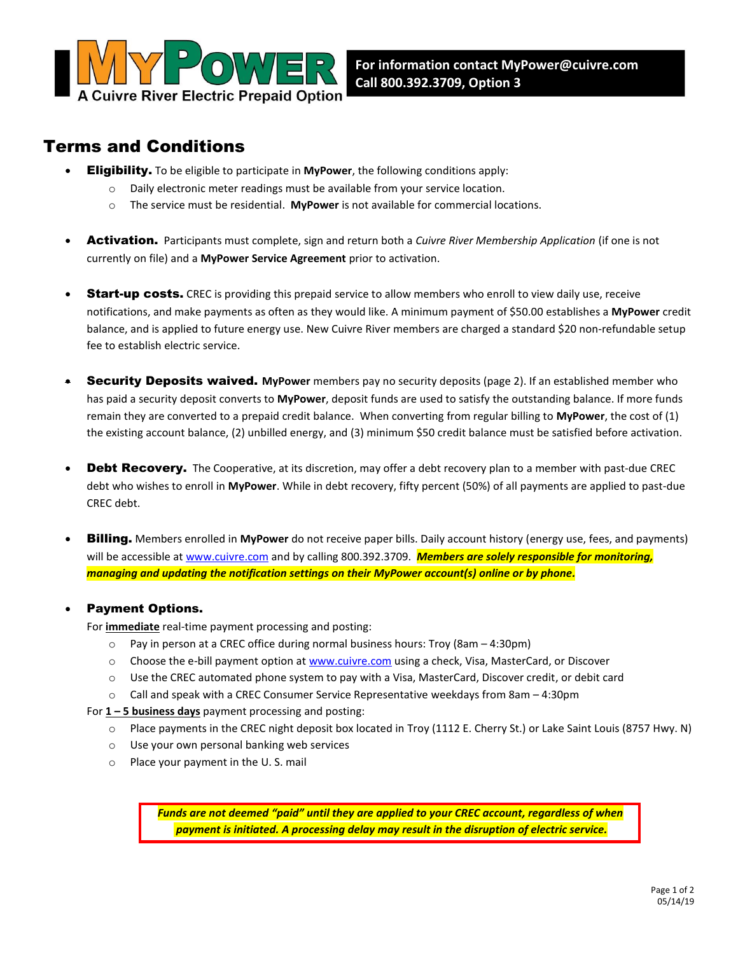

# Terms and Conditions

- Eligibility. To be eligible to participate in **MyPower**, the following conditions apply:
	- o Daily electronic meter readings must be available from your service location.
	- o The service must be residential. **MyPower** is not available for commercial locations.
- Activation. Participants must complete, sign and return both a *Cuivre River Membership Application* (if one is not currently on file) and a **MyPower Service Agreement** prior to activation.
- **Start-up costs.** CREC is providing this prepaid service to allow members who enroll to view daily use, receive notifications, and make payments as often as they would like. A minimum payment of \$50.00 establishes a **MyPower** credit balance, and is applied to future energy use. New Cuivre River members are charged a standard \$20 non-refundable setup fee to establish electric service.
- Security Deposits waived. **MyPower** members pay no security deposits (page 2). If an established member who has paid a security deposit converts to **MyPower**, deposit funds are used to satisfy the outstanding balance. If more funds remain they are converted to a prepaid credit balance. When converting from regular billing to **MyPower**, the cost of (1) the existing account balance, (2) unbilled energy, and (3) minimum \$50 credit balance must be satisfied before activation.
- Debt Recovery. The Cooperative, at its discretion, may offer a debt recovery plan to a member with past-due CREC debt who wishes to enroll in **MyPower**. While in debt recovery, fifty percent (50%) of all payments are applied to past-due CREC debt.
- Billing. Members enrolled in **MyPower** do not receive paper bills. Daily account history (energy use, fees, and payments) will be accessible at [www.cuivre.com](http://www.cuivre.com/) and by calling 800.392.3709. *Members are solely responsible for monitoring, managing and updating the notification settings on their MyPower account(s) online or by phone.*

#### Payment Options.

For **immediate** real-time payment processing and posting:

- $\circ$  Pay in person at a CREC office during normal business hours: Troy (8am 4:30pm)
- o Choose the e-bill payment option a[t www.cuivre.com](http://www.cuivre.com/) using a check, Visa, MasterCard, or Discover
- o Use the CREC automated phone system to pay with a Visa, MasterCard, Discover credit, or debit card
- o Call and speak with a CREC Consumer Service Representative weekdays from 8am 4:30pm

#### For **1 – 5 business days** payment processing and posting:

- o Place payments in the CREC night deposit box located in Troy (1112 E. Cherry St.) or Lake Saint Louis (8757 Hwy. N)
- o Use your own personal banking web services
- o Place your payment in the U. S. mail

*Funds are not deemed "paid" until they are applied to your CREC account, regardless of when payment is initiated. A processing delay may result in the disruption of electric service.*